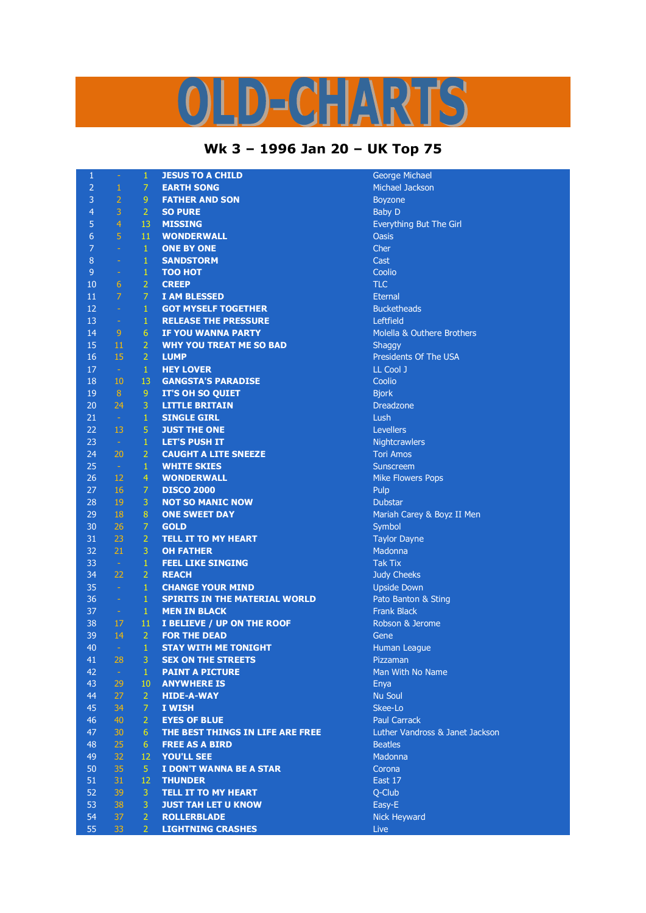## D-CHARTS

## **Wk 3 – 1996 Jan 20 – UK Top 75**

| $\mathbf{1}$   | $\equiv$       | 1              | <b>JESUS TO A CHILD</b>              | George Michael                  |
|----------------|----------------|----------------|--------------------------------------|---------------------------------|
| $\overline{2}$ | $\mathbf{1}$   | 7              | <b>EARTH SONG</b>                    | Michael Jackson                 |
| 3              | $\overline{2}$ | $\overline{9}$ | <b>FATHER AND SON</b>                | <b>Boyzone</b>                  |
| 4              | 3              | $\overline{2}$ | <b>SO PURE</b>                       | <b>Baby D</b>                   |
| 5              | $\overline{4}$ | 13             | <b>MISSING</b>                       | Everything But The Girl         |
| $6\phantom{1}$ | 5              | 11             | <b>WONDERWALL</b>                    | <b>Oasis</b>                    |
| $\overline{7}$ | $\omega$       | $\mathbf{1}$   | <b>ONE BY ONE</b>                    | Cher                            |
| 8              | $\equiv$       | $\mathbf{1}$   | <b>SANDSTORM</b>                     | Cast                            |
| 9              | $\omega$       | $\,1\,$        | <b>TOO HOT</b>                       | Coolio                          |
| 10             | 6              | $\overline{2}$ | <b>CREEP</b>                         | <b>TLC</b>                      |
| 11             | $\overline{7}$ | 7              | <b>I AM BLESSED</b>                  | <b>Eternal</b>                  |
| 12             | $\omega$       | $\mathbf{1}$   | <b>GOT MYSELF TOGETHER</b>           | <b>Bucketheads</b>              |
| 13             |                | $\mathbf{1}$   | <b>RELEASE THE PRESSURE</b>          | Leftfield                       |
|                | $\sim$         |                |                                      |                                 |
| 14             | 9              | 6              | <b>IF YOU WANNA PARTY</b>            | Molella & Outhere Brothers      |
| 15             | 11             | $\overline{2}$ | <b>WHY YOU TREAT ME SO BAD</b>       | Shaggy                          |
| 16             | 15             | $\overline{2}$ | <b>LUMP</b>                          | Presidents Of The USA           |
| 17             | $\sim$         | $\mathbf{1}$   | <b>HEY LOVER</b>                     | LL Cool J                       |
| 18             | 10             | 13             | <b>GANGSTA'S PARADISE</b>            | Coolio                          |
| 19             | 8              | 9              | <b>IT'S OH SO QUIET</b>              | <b>Bjork</b>                    |
| 20             | 24             | 3              | <b>LITTLE BRITAIN</b>                | <b>Dreadzone</b>                |
| 21             | $\sim$         | $\mathbf{1}$   | <b>SINGLE GIRL</b>                   | Lush                            |
| 22             | 13             | 5              | <b>JUST THE ONE</b>                  | Levellers                       |
| 23             | $\sim$         | $\mathbf{1}$   | <b>LET'S PUSH IT</b>                 | Nightcrawlers                   |
| 24             | 20             | $\overline{2}$ | <b>CAUGHT A LITE SNEEZE</b>          | <b>Tori Amos</b>                |
| 25             | $\sim$         | $\mathbf{1}$   | <b>WHITE SKIES</b>                   | Sunscreem                       |
| 26             | 12             | $\overline{4}$ | <b>WONDERWALL</b>                    | <b>Mike Flowers Pops</b>        |
| 27             | 16             | 7              | <b>DISCO 2000</b>                    | Pulp                            |
| 28             | 19             | 3              | <b>NOT SO MANIC NOW</b>              | <b>Dubstar</b>                  |
| 29             | 18             | 8              | <b>ONE SWEET DAY</b>                 | Mariah Carey & Boyz II Men      |
| 30             | 26             | $\overline{7}$ | <b>GOLD</b>                          | Symbol                          |
| 31             | 23             | $\overline{2}$ | <b>TELL IT TO MY HEART</b>           | <b>Taylor Dayne</b>             |
| 32             | 21             | 3              | <b>OH FATHER</b>                     | Madonna                         |
| 33             | $\sim$         | $\mathbf{1}$   | <b>FEEL LIKE SINGING</b>             | <b>Tak Tix</b>                  |
| 34             | 22             | $\overline{2}$ | <b>REACH</b>                         | <b>Judy Cheeks</b>              |
| 35             | $\sim$         | $\mathbf{1}$   | <b>CHANGE YOUR MIND</b>              | <b>Upside Down</b>              |
| 36             | $\omega$       | $\mathbf{1}$   | <b>SPIRITS IN THE MATERIAL WORLD</b> | Pato Banton & Sting             |
| 37             | $\equiv$       | $\mathbf{1}$   | <b>MEN IN BLACK</b>                  | <b>Frank Black</b>              |
| 38             | 17             | 11             | I BELIEVE / UP ON THE ROOF           | Robson & Jerome                 |
| 39             | 14             | $\overline{2}$ | <b>FOR THE DEAD</b>                  | Gene                            |
| 40             | $\sim$         | $\mathbf{1}$   | <b>STAY WITH ME TONIGHT</b>          | Human League                    |
| 41             | 28             | 3              | <b>SEX ON THE STREETS</b>            | Pizzaman                        |
| 42             | $\sim$         | $\mathbf{1}$   | <b>PAINT A PICTURE</b>               | Man With No Name                |
| 43             | 29             | 10             | <b>ANYWHERE IS</b>                   | Enya                            |
| 44             | 27             | $\overline{2}$ | <b>HIDE-A-WAY</b>                    | <b>Nu Soul</b>                  |
| 45             | 34             | $\overline{7}$ | I WISH                               | Skee-Lo                         |
| 46             | 40             | $\overline{2}$ | <b>EYES OF BLUE</b>                  | <b>Paul Carrack</b>             |
| 47             | 30             | 6              | THE BEST THINGS IN LIFE ARE FREE     | Luther Vandross & Janet Jackson |
| 48             | 25             | 6              | <b>FREE AS A BIRD</b>                | <b>Beatles</b>                  |
| 49             | 32             | 12             | <b>YOU'LL SEE</b>                    | Madonna                         |
| 50             | 35             | $\overline{5}$ | I DON'T WANNA BE A STAR              | Corona                          |
| 51             | 31             | 12             | <b>THUNDER</b>                       | East 17                         |
| 52             | 39             | 3              | <b>TELL IT TO MY HEART</b>           | Q-Club                          |
| 53             | 38             | 3              | <b>JUST TAH LET U KNOW</b>           | Easy-E                          |
| 54             | 37             | $\overline{2}$ | <b>ROLLERBLADE</b>                   | Nick Heyward                    |
| 55             | 33             | $\overline{2}$ | <b>LIGHTNING CRASHES</b>             | <b>Live</b>                     |